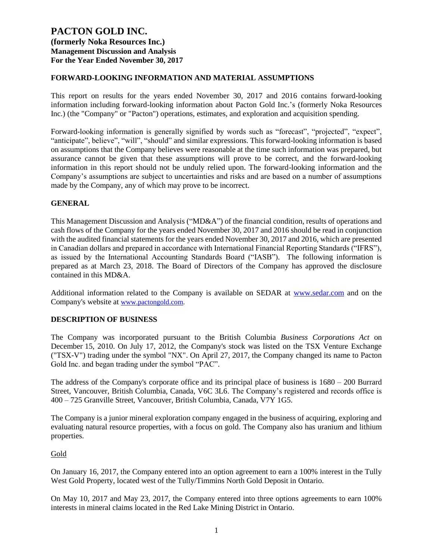## **FORWARD-LOOKING INFORMATION AND MATERIAL ASSUMPTIONS**

This report on results for the years ended November 30, 2017 and 2016 contains forward-looking information including forward-looking information about Pacton Gold Inc.'s (formerly Noka Resources Inc.) (the "Company" or "Pacton") operations, estimates, and exploration and acquisition spending.

Forward-looking information is generally signified by words such as "forecast", "projected", "expect", "anticipate", believe", "will", "should" and similar expressions. This forward-looking information is based on assumptions that the Company believes were reasonable at the time such information was prepared, but assurance cannot be given that these assumptions will prove to be correct, and the forward-looking information in this report should not be unduly relied upon. The forward-looking information and the Company's assumptions are subject to uncertainties and risks and are based on a number of assumptions made by the Company, any of which may prove to be incorrect.

## **GENERAL**

This Management Discussion and Analysis ("MD&A") of the financial condition, results of operations and cash flows of the Company for the years ended November 30, 2017 and 2016 should be read in conjunction with the audited financial statements for the years ended November 30, 2017 and 2016, which are presented in Canadian dollars and prepared in accordance with International Financial Reporting Standards ("IFRS"), as issued by the International Accounting Standards Board ("IASB"). The following information is prepared as at March 23, 2018. The Board of Directors of the Company has approved the disclosure contained in this MD&A.

Additional information related to the Company is available on SEDAR at [www.sedar.com](http://www.sedar.com/) and on the Company's website at [www.pactongold.com.](http://www.pactongold.com/)

#### **DESCRIPTION OF BUSINESS**

The Company was incorporated pursuant to the British Columbia *Business Corporations Act* on December 15, 2010. On July 17, 2012, the Company's stock was listed on the TSX Venture Exchange ("TSX-V") trading under the symbol "NX". On April 27, 2017, the Company changed its name to Pacton Gold Inc. and began trading under the symbol "PAC".

The address of the Company's corporate office and its principal place of business is 1680 – 200 Burrard Street, Vancouver, British Columbia, Canada, V6C 3L6. The Company's registered and records office is 400 – 725 Granville Street, Vancouver, British Columbia, Canada, V7Y 1G5.

The Company is a junior mineral exploration company engaged in the business of acquiring, exploring and evaluating natural resource properties, with a focus on gold. The Company also has uranium and lithium properties.

#### Gold

On January 16, 2017, the Company entered into an option agreement to earn a 100% interest in the Tully West Gold Property, located west of the Tully/Timmins North Gold Deposit in Ontario.

On May 10, 2017 and May 23, 2017, the Company entered into three options agreements to earn 100% interests in mineral claims located in the Red Lake Mining District in Ontario.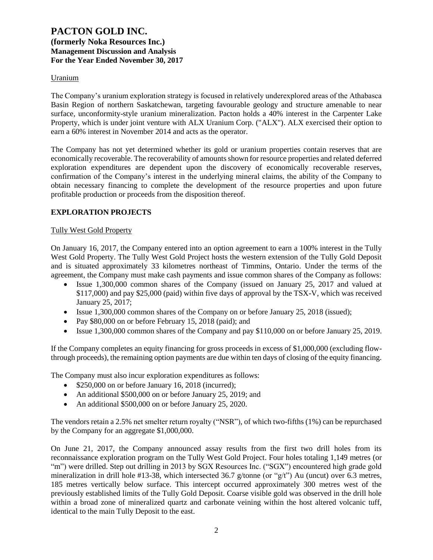#### Uranium

The Company's uranium exploration strategy is focused in relatively underexplored areas of the Athabasca Basin Region of northern Saskatchewan, targeting favourable geology and structure amenable to near surface, unconformity-style uranium mineralization. Pacton holds a 40% interest in the Carpenter Lake Property, which is under joint venture with ALX Uranium Corp. ("ALX"). ALX exercised their option to earn a 60% interest in November 2014 and acts as the operator.

The Company has not yet determined whether its gold or uranium properties contain reserves that are economically recoverable. The recoverability of amounts shown for resource properties and related deferred exploration expenditures are dependent upon the discovery of economically recoverable reserves, confirmation of the Company's interest in the underlying mineral claims, the ability of the Company to obtain necessary financing to complete the development of the resource properties and upon future profitable production or proceeds from the disposition thereof.

### **EXPLORATION PROJECTS**

#### Tully West Gold Property

On January 16, 2017, the Company entered into an option agreement to earn a 100% interest in the Tully West Gold Property. The Tully West Gold Project hosts the western extension of the Tully Gold Deposit and is situated approximately 33 kilometres northeast of Timmins, Ontario. Under the terms of the agreement, the Company must make cash payments and issue common shares of the Company as follows:

- Issue 1,300,000 common shares of the Company (issued on January 25, 2017 and valued at \$117,000) and pay \$25,000 (paid) within five days of approval by the TSX-V, which was received January 25, 2017;
- Issue 1,300,000 common shares of the Company on or before January 25, 2018 (issued);
- Pay \$80,000 on or before February 15, 2018 (paid); and
- Issue 1,300,000 common shares of the Company and pay \$110,000 on or before January 25, 2019.

If the Company completes an equity financing for gross proceeds in excess of \$1,000,000 (excluding flowthrough proceeds), the remaining option payments are due within ten days of closing of the equity financing.

The Company must also incur exploration expenditures as follows:

- \$250,000 on or before January 16, 2018 (incurred);
- An additional \$500,000 on or before January 25, 2019; and
- An additional \$500,000 on or before January 25, 2020.

The vendors retain a 2.5% net smelter return royalty ("NSR"), of which two-fifths (1%) can be repurchased by the Company for an aggregate \$1,000,000.

On June 21, 2017, the Company announced assay results from the first two drill holes from its reconnaissance exploration program on the Tully West Gold Project. Four holes totaling 1,149 metres (or "m") were drilled. Step out drilling in 2013 by SGX Resources Inc. ("SGX") encountered high grade gold mineralization in drill hole #13-38, which intersected 36.7 g/tonne (or "g/t") Au (uncut) over 6.3 metres, 185 metres vertically below surface. This intercept occurred approximately 300 metres west of the previously established limits of the Tully Gold Deposit. Coarse visible gold was observed in the drill hole within a broad zone of mineralized quartz and carbonate veining within the host altered volcanic tuff, identical to the main Tully Deposit to the east.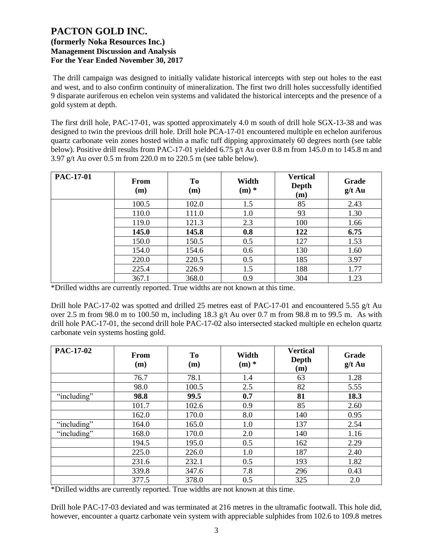The drill campaign was designed to initially validate historical intercepts with step out holes to the east and west, and to also confirm continuity of mineralization. The first two drill holes successfully identified 9 disparate auriferous en echelon vein systems and validated the historical intercepts and the presence of a gold system at depth.

The first drill hole, PAC-17-01, was spotted approximately 4.0 m south of drill hole SGX-13-38 and was designed to twin the previous drill hole. Drill hole PCA-17-01 encountered multiple en echelon auriferous quartz carbonate vein zones hosted within a mafic tuff dipping approximately 60 degrees north (see table below). Positive drill results from PAC-17-01 yielded 6.75 g/t Au over 0.8 m from 145.0 m to 145.8 m and 3.97 g/t Au over 0.5 m from 220.0 m to 220.5 m (see table below).

| <b>PAC-17-01</b> | <b>From</b><br>(m) | <b>To</b><br>(m) | Width<br>$(m)$ * | <b>Vertical</b><br>Depth<br>(m) | Grade<br>$g/t$ Au |
|------------------|--------------------|------------------|------------------|---------------------------------|-------------------|
|                  | 100.5              | 102.0            | 1.5              | 85                              | 2.43              |
|                  | 110.0              | 111.0            | 1.0              | 93                              | 1.30              |
|                  | 119.0              | 121.3            | 2.3              | 100                             | 1.66              |
|                  | 145.0              | 145.8            | 0.8              | 122                             | 6.75              |
|                  | 150.0              | 150.5            | 0.5              | 127                             | 1.53              |
|                  | 154.0              | 154.6            | 0.6              | 130                             | 1.60              |
|                  | 220.0              | 220.5            | 0.5              | 185                             | 3.97              |
|                  | 225.4              | 226.9            | 1.5              | 188                             | 1.77              |
|                  | 367.1              | 368.0            | 0.9              | 304                             | 1.23              |

\*Drilled widths are currently reported. True widths are not known at this time.

Drill hole PAC-17-02 was spotted and drilled 25 metres east of PAC-17-01 and encountered 5.55 g/t Au over 2.5 m from 98.0 m to 100.50 m, including 18.3 g/t Au over 0.7 m from 98.8 m to 99.5 m. As with drill hole PAC-17-01, the second drill hole PAC-17-02 also intersected stacked multiple en echelon quartz carbonate vein systems hosting gold.

| <b>PAC-17-02</b> | <b>From</b><br>(m) | To<br>(m) | Width<br>$(m)$ * | <b>Vertical</b><br>Depth<br>(m) | Grade<br>$g/t$ Au |
|------------------|--------------------|-----------|------------------|---------------------------------|-------------------|
|                  | 76.7               | 78.1      | 1.4              | 63                              | 1.28              |
|                  | 98.0               | 100.5     | 2.5              | 82                              | 5.55              |
| "including"      | 98.8               | 99.5      | 0.7              | 81                              | 18.3              |
|                  | 101.7              | 102.6     | 0.9              | 85                              | 2.60              |
|                  | 162.0              | 170.0     | 8.0              | 140                             | 0.95              |
| "including"      | 164.0              | 165.0     | 1.0              | 137                             | 2.54              |
| "including"      | 168.0              | 170.0     | 2.0              | 140                             | 1.16              |
|                  | 194.5              | 195.0     | 0.5              | 162                             | 2.29              |
|                  | 225.0              | 226.0     | 1.0              | 187                             | 2.40              |
|                  | 231.6              | 232.1     | 0.5              | 193                             | 1.82              |
|                  | 339.8              | 347.6     | 7.8              | 296                             | 0.43              |
|                  | 377.5              | 378.0     | 0.5              | 325                             | 2.0               |

\*Drilled widths are currently reported. True widths are not known at this time.

Drill hole PAC-17-03 deviated and was terminated at 216 metres in the ultramafic footwall. This hole did, however, encounter a quartz carbonate vein system with appreciable sulphides from 102.6 to 109.8 metres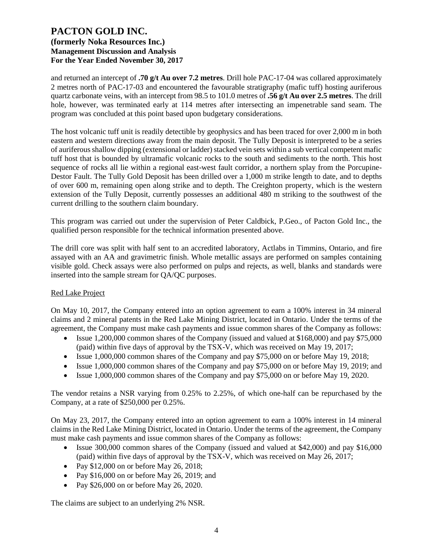and returned an intercept of **.70 g/t Au over 7.2 metres**. Drill hole PAC-17-04 was collared approximately 2 metres north of PAC-17-03 and encountered the favourable stratigraphy (mafic tuff) hosting auriferous quartz carbonate veins, with an intercept from 98.5 to 101.0 metres of **.56 g/t Au over 2.5 metres**. The drill hole, however, was terminated early at 114 metres after intersecting an impenetrable sand seam. The program was concluded at this point based upon budgetary considerations.

The host volcanic tuff unit is readily detectible by geophysics and has been traced for over 2,000 m in both eastern and western directions away from the main deposit. The Tully Deposit is interpreted to be a series of auriferous shallow dipping (extensional or ladder) stacked vein sets within a sub vertical competent mafic tuff host that is bounded by ultramafic volcanic rocks to the south and sediments to the north. This host sequence of rocks all lie within a regional east-west fault corridor, a northern splay from the Porcupine-Destor Fault. The Tully Gold Deposit has been drilled over a 1,000 m strike length to date, and to depths of over 600 m, remaining open along strike and to depth. The Creighton property, which is the western extension of the Tully Deposit, currently possesses an additional 480 m striking to the southwest of the current drilling to the southern claim boundary.

This program was carried out under the supervision of Peter Caldbick, P.Geo., of Pacton Gold Inc., the qualified person responsible for the technical information presented above.

The drill core was split with half sent to an accredited laboratory, Actlabs in Timmins, Ontario, and fire assayed with an AA and gravimetric finish. Whole metallic assays are performed on samples containing visible gold. Check assays were also performed on pulps and rejects, as well, blanks and standards were inserted into the sample stream for QA/QC purposes.

#### Red Lake Project

On May 10, 2017, the Company entered into an option agreement to earn a 100% interest in 34 mineral claims and 2 mineral patents in the Red Lake Mining District, located in Ontario. Under the terms of the agreement, the Company must make cash payments and issue common shares of the Company as follows:

- Issue 1,200,000 common shares of the Company (issued and valued at \$168,000) and pay \$75,000 (paid) within five days of approval by the TSX-V, which was received on May 19, 2017;
- Issue 1,000,000 common shares of the Company and pay \$75,000 on or before May 19, 2018;
- Issue 1,000,000 common shares of the Company and pay \$75,000 on or before May 19, 2019; and
- Issue 1,000,000 common shares of the Company and pay \$75,000 on or before May 19, 2020.

The vendor retains a NSR varying from 0.25% to 2.25%, of which one-half can be repurchased by the Company, at a rate of \$250,000 per 0.25%.

On May 23, 2017, the Company entered into an option agreement to earn a 100% interest in 14 mineral claims in the Red Lake Mining District, located in Ontario. Under the terms of the agreement, the Company must make cash payments and issue common shares of the Company as follows:

- Issue 300,000 common shares of the Company (issued and valued at \$42,000) and pay \$16,000 (paid) within five days of approval by the TSX-V, which was received on May 26, 2017;
- Pay \$12,000 on or before May 26, 2018;
- Pay \$16,000 on or before May 26, 2019; and
- Pay \$26,000 on or before May 26, 2020.

The claims are subject to an underlying 2% NSR.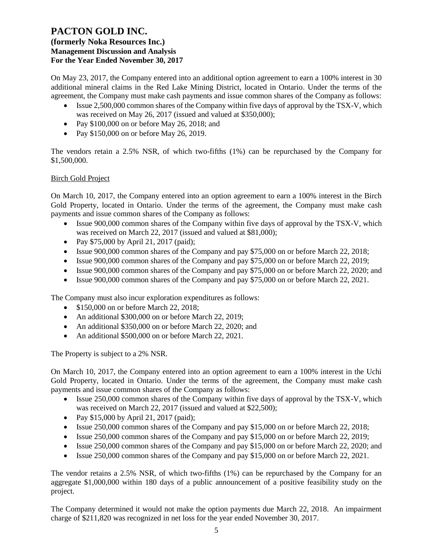On May 23, 2017, the Company entered into an additional option agreement to earn a 100% interest in 30 additional mineral claims in the Red Lake Mining District, located in Ontario. Under the terms of the agreement, the Company must make cash payments and issue common shares of the Company as follows:

- Issue 2,500,000 common shares of the Company within five days of approval by the TSX-V, which was received on May 26, 2017 (issued and valued at \$350,000);
- Pay \$100,000 on or before May 26, 2018; and
- Pay \$150,000 on or before May 26, 2019.

The vendors retain a 2.5% NSR, of which two-fifths (1%) can be repurchased by the Company for \$1,500,000.

#### Birch Gold Project

On March 10, 2017, the Company entered into an option agreement to earn a 100% interest in the Birch Gold Property, located in Ontario. Under the terms of the agreement, the Company must make cash payments and issue common shares of the Company as follows:

- Issue 900,000 common shares of the Company within five days of approval by the TSX-V, which was received on March 22, 2017 (issued and valued at \$81,000);
- Pay \$75,000 by April 21, 2017 (paid);
- Issue 900,000 common shares of the Company and pay \$75,000 on or before March 22, 2018;
- Issue 900,000 common shares of the Company and pay \$75,000 on or before March 22, 2019;
- Issue 900,000 common shares of the Company and pay \$75,000 on or before March 22, 2020; and
- Issue 900,000 common shares of the Company and pay \$75,000 on or before March 22, 2021.

The Company must also incur exploration expenditures as follows:

- \$150,000 on or before March 22, 2018;
- An additional \$300,000 on or before March 22, 2019;
- An additional \$350,000 on or before March 22, 2020; and
- An additional \$500,000 on or before March 22, 2021.

The Property is subject to a 2% NSR.

On March 10, 2017, the Company entered into an option agreement to earn a 100% interest in the Uchi Gold Property, located in Ontario. Under the terms of the agreement, the Company must make cash payments and issue common shares of the Company as follows:

- Issue 250,000 common shares of the Company within five days of approval by the TSX-V, which was received on March 22, 2017 (issued and valued at \$22,500);
- Pay \$15,000 by April 21, 2017 (paid);
- Issue 250,000 common shares of the Company and pay \$15,000 on or before March 22, 2018;
- Issue 250,000 common shares of the Company and pay \$15,000 on or before March 22, 2019;
- Issue 250,000 common shares of the Company and pay \$15,000 on or before March 22, 2020; and
- Issue 250,000 common shares of the Company and pay \$15,000 on or before March 22, 2021.

The vendor retains a 2.5% NSR, of which two-fifths (1%) can be repurchased by the Company for an aggregate \$1,000,000 within 180 days of a public announcement of a positive feasibility study on the project.

The Company determined it would not make the option payments due March 22, 2018. An impairment charge of \$211,820 was recognized in net loss for the year ended November 30, 2017.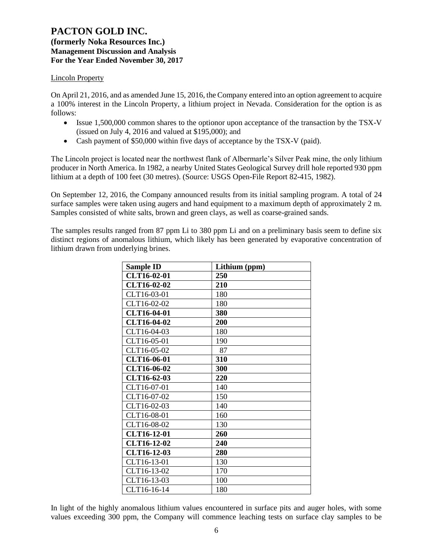### **(formerly Noka Resources Inc.) Management Discussion and Analysis For the Year Ended November 30, 2017**

#### Lincoln Property

On April 21, 2016, and as amended June 15, 2016, the Company entered into an option agreement to acquire a 100% interest in the Lincoln Property, a lithium project in Nevada. Consideration for the option is as follows:

- Issue 1,500,000 common shares to the optionor upon acceptance of the transaction by the TSX-V (issued on July 4, 2016 and valued at \$195,000); and
- Cash payment of \$50,000 within five days of acceptance by the TSX-V (paid).

The Lincoln project is located near the northwest flank of Albermarle's Silver Peak mine, the only lithium producer in North America. In 1982, a nearby United States Geological Survey drill hole reported 930 ppm lithium at a depth of 100 feet (30 metres). (Source: USGS Open-File Report 82-415, 1982).

On September 12, 2016, the Company announced results from its initial sampling program. A total of 24 surface samples were taken using augers and hand equipment to a maximum depth of approximately 2 m. Samples consisted of white salts, brown and green clays, as well as coarse-grained sands.

The samples results ranged from 87 ppm Li to 380 ppm Li and on a preliminary basis seem to define six distinct regions of anomalous lithium, which likely has been generated by evaporative concentration of lithium drawn from underlying brines.

| <b>Sample ID</b>   | Lithium (ppm) |
|--------------------|---------------|
| CLT16-02-01        | 250           |
| CLT16-02-02        | 210           |
| CLT16-03-01        | 180           |
| CLT16-02-02        | 180           |
| CLT16-04-01        | 380           |
| CLT16-04-02        | 200           |
| CLT16-04-03        | 180           |
| CLT16-05-01        | 190           |
| CLT16-05-02        | 87            |
| CLT16-06-01        | 310           |
| CLT16-06-02        | 300           |
| CLT16-62-03        | 220           |
| CLT16-07-01        | 140           |
| CLT16-07-02        | 150           |
| CLT16-02-03        | 140           |
| CLT16-08-01        | 160           |
| CLT16-08-02        | 130           |
| CLT16-12-01        | 260           |
| <b>CLT16-12-02</b> | 240           |
| CLT16-12-03        | 280           |
| CLT16-13-01        | 130           |
| CLT16-13-02        | 170           |
| CLT16-13-03        | 100           |
| CLT16-16-14        | 180           |

In light of the highly anomalous lithium values encountered in surface pits and auger holes, with some values exceeding 300 ppm, the Company will commence leaching tests on surface clay samples to be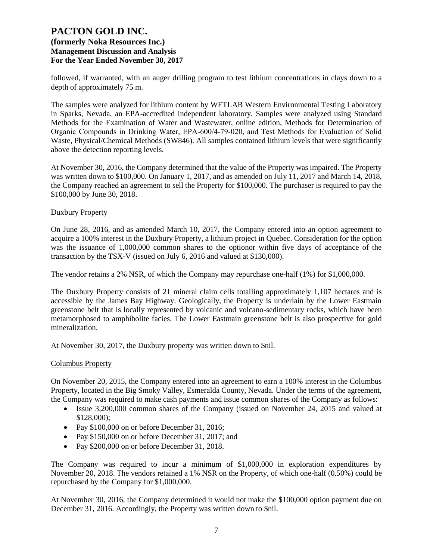followed, if warranted, with an auger drilling program to test lithium concentrations in clays down to a depth of approximately 75 m.

The samples were analyzed for lithium content by WETLAB Western Environmental Testing Laboratory in Sparks, Nevada, an EPA-accredited independent laboratory. Samples were analyzed using Standard Methods for the Examination of Water and Wastewater, online edition, Methods for Determination of Organic Compounds in Drinking Water, EPA‐600/4‐79‐020, and Test Methods for Evaluation of Solid Waste, Physical/Chemical Methods (SW846). All samples contained lithium levels that were significantly above the detection reporting levels.

At November 30, 2016, the Company determined that the value of the Property was impaired. The Property was written down to \$100,000. On January 1, 2017, and as amended on July 11, 2017 and March 14, 2018, the Company reached an agreement to sell the Property for \$100,000. The purchaser is required to pay the \$100,000 by June 30, 2018.

#### Duxbury Property

On June 28, 2016, and as amended March 10, 2017, the Company entered into an option agreement to acquire a 100% interest in the Duxbury Property, a lithium project in Quebec. Consideration for the option was the issuance of 1,000,000 common shares to the optionor within five days of acceptance of the transaction by the TSX-V (issued on July 6, 2016 and valued at \$130,000).

The vendor retains a 2% NSR, of which the Company may repurchase one-half (1%) for \$1,000,000.

The Duxbury Property consists of 21 mineral claim cells totalling approximately 1,107 hectares and is accessible by the James Bay Highway. Geologically, the Property is underlain by the Lower Eastmain greenstone belt that is locally represented by volcanic and volcano-sedimentary rocks, which have been metamorphosed to amphibolite facies. The Lower Eastmain greenstone belt is also prospective for gold mineralization.

At November 30, 2017, the Duxbury property was written down to \$nil.

#### Columbus Property

On November 20, 2015, the Company entered into an agreement to earn a 100% interest in the Columbus Property, located in the Big Smoky Valley, Esmeralda County, Nevada. Under the terms of the agreement, the Company was required to make cash payments and issue common shares of the Company as follows:

- Issue 3,200,000 common shares of the Company (issued on November 24, 2015 and valued at \$128,000);
- Pay \$100,000 on or before December 31, 2016;
- Pay \$150,000 on or before December 31, 2017; and
- Pay \$200,000 on or before December 31, 2018.

The Company was required to incur a minimum of \$1,000,000 in exploration expenditures by November 20, 2018. The vendors retained a 1% NSR on the Property, of which one-half (0.50%) could be repurchased by the Company for \$1,000,000.

At November 30, 2016, the Company determined it would not make the \$100,000 option payment due on December 31, 2016. Accordingly, the Property was written down to \$nil.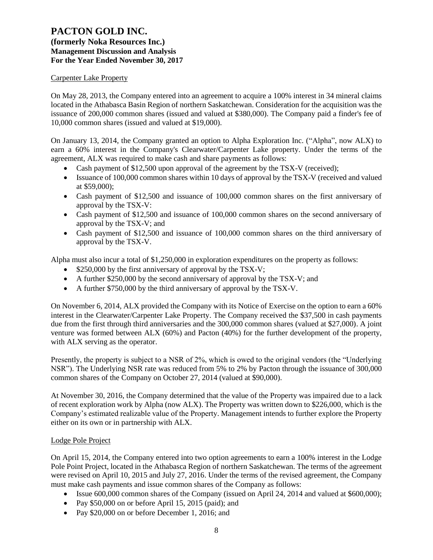## **(formerly Noka Resources Inc.) Management Discussion and Analysis For the Year Ended November 30, 2017**

### Carpenter Lake Property

On May 28, 2013, the Company entered into an agreement to acquire a 100% interest in 34 mineral claims located in the Athabasca Basin Region of northern Saskatchewan. Consideration for the acquisition was the issuance of 200,000 common shares (issued and valued at \$380,000). The Company paid a finder's fee of 10,000 common shares (issued and valued at \$19,000).

On January 13, 2014, the Company granted an option to Alpha Exploration Inc. ("Alpha", now ALX) to earn a 60% interest in the Company's Clearwater/Carpenter Lake property. Under the terms of the agreement, ALX was required to make cash and share payments as follows:

- Cash payment of \$12,500 upon approval of the agreement by the TSX-V (received);
- Issuance of 100,000 common shares within 10 days of approval by the TSX-V (received and valued at \$59,000);
- Cash payment of \$12,500 and issuance of 100,000 common shares on the first anniversary of approval by the TSX-V:
- Cash payment of \$12,500 and issuance of 100,000 common shares on the second anniversary of approval by the TSX-V; and
- Cash payment of \$12,500 and issuance of 100,000 common shares on the third anniversary of approval by the TSX-V.

Alpha must also incur a total of \$1,250,000 in exploration expenditures on the property as follows:

- \$250,000 by the first anniversary of approval by the TSX-V;
- A further \$250,000 by the second anniversary of approval by the TSX-V; and
- A further \$750,000 by the third anniversary of approval by the TSX-V.

On November 6, 2014, ALX provided the Company with its Notice of Exercise on the option to earn a 60% interest in the Clearwater/Carpenter Lake Property. The Company received the \$37,500 in cash payments due from the first through third anniversaries and the 300,000 common shares (valued at \$27,000). A joint venture was formed between ALX (60%) and Pacton (40%) for the further development of the property, with ALX serving as the operator.

Presently, the property is subject to a NSR of 2%, which is owed to the original vendors (the "Underlying NSR"). The Underlying NSR rate was reduced from 5% to 2% by Pacton through the issuance of 300,000 common shares of the Company on October 27, 2014 (valued at \$90,000).

At November 30, 2016, the Company determined that the value of the Property was impaired due to a lack of recent exploration work by Alpha (now ALX). The Property was written down to \$226,000, which is the Company's estimated realizable value of the Property. Management intends to further explore the Property either on its own or in partnership with ALX.

#### Lodge Pole Project

On April 15, 2014, the Company entered into two option agreements to earn a 100% interest in the Lodge Pole Point Project, located in the Athabasca Region of northern Saskatchewan. The terms of the agreement were revised on April 10, 2015 and July 27, 2016. Under the terms of the revised agreement, the Company must make cash payments and issue common shares of the Company as follows:

- Issue 600,000 common shares of the Company (issued on April 24, 2014 and valued at \$600,000);
- Pay \$50,000 on or before April 15, 2015 (paid); and
- Pay \$20,000 on or before December 1, 2016; and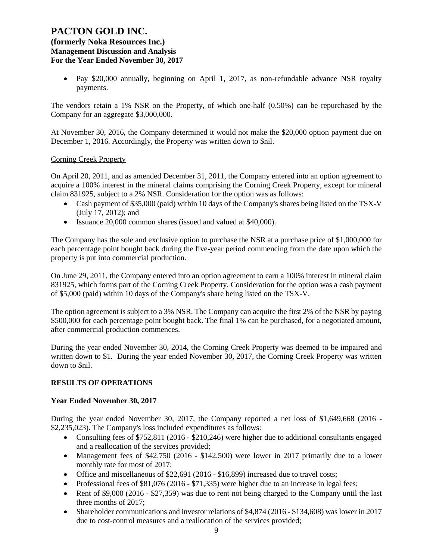**(formerly Noka Resources Inc.) Management Discussion and Analysis For the Year Ended November 30, 2017**

• Pay \$20,000 annually, beginning on April 1, 2017, as non-refundable advance NSR royalty payments.

The vendors retain a 1% NSR on the Property, of which one-half (0.50%) can be repurchased by the Company for an aggregate \$3,000,000.

At November 30, 2016, the Company determined it would not make the \$20,000 option payment due on December 1, 2016. Accordingly, the Property was written down to \$nil.

#### Corning Creek Property

On April 20, 2011, and as amended December 31, 2011, the Company entered into an option agreement to acquire a 100% interest in the mineral claims comprising the Corning Creek Property, except for mineral claim 831925, subject to a 2% NSR. Consideration for the option was as follows:

- Cash payment of \$35,000 (paid) within 10 days of the Company's shares being listed on the TSX-V (July 17, 2012); and
- Issuance 20,000 common shares (issued and valued at \$40,000).

The Company has the sole and exclusive option to purchase the NSR at a purchase price of \$1,000,000 for each percentage point bought back during the five-year period commencing from the date upon which the property is put into commercial production.

On June 29, 2011, the Company entered into an option agreement to earn a 100% interest in mineral claim 831925, which forms part of the Corning Creek Property. Consideration for the option was a cash payment of \$5,000 (paid) within 10 days of the Company's share being listed on the TSX-V.

The option agreement is subject to a 3% NSR. The Company can acquire the first 2% of the NSR by paying \$500,000 for each percentage point bought back. The final 1% can be purchased, for a negotiated amount, after commercial production commences.

During the year ended November 30, 2014, the Corning Creek Property was deemed to be impaired and written down to \$1. During the year ended November 30, 2017, the Corning Creek Property was written down to \$nil.

## **RESULTS OF OPERATIONS**

#### **Year Ended November 30, 2017**

During the year ended November 30, 2017, the Company reported a net loss of \$1,649,668 (2016 - \$2,235,023). The Company's loss included expenditures as follows:

- Consulting fees of \$752,811 (2016 \$210,246) were higher due to additional consultants engaged and a reallocation of the services provided;
- Management fees of \$42,750 (2016 \$142,500) were lower in 2017 primarily due to a lower monthly rate for most of 2017;
- Office and miscellaneous of \$22,691 (2016 \$16,899) increased due to travel costs;
- Professional fees of  $$81,076 (2016 $71,335)$  were higher due to an increase in legal fees;
- Rent of \$9,000 (2016 \$27,359) was due to rent not being charged to the Company until the last three months of 2017;
- Shareholder communications and investor relations of \$4,874 (2016 \$134,608) was lower in 2017 due to cost-control measures and a reallocation of the services provided;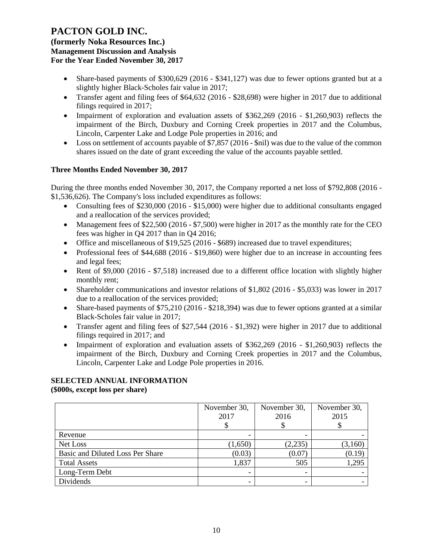**(formerly Noka Resources Inc.) Management Discussion and Analysis For the Year Ended November 30, 2017**

- Share-based payments of \$300,629 (2016 \$341,127) was due to fewer options granted but at a slightly higher Black-Scholes fair value in 2017;
- Transfer agent and filing fees of \$64,632 (2016 \$28,698) were higher in 2017 due to additional filings required in 2017;
- Impairment of exploration and evaluation assets of \$362,269 (2016 \$1,260,903) reflects the impairment of the Birch, Duxbury and Corning Creek properties in 2017 and the Columbus, Lincoln, Carpenter Lake and Lodge Pole properties in 2016; and
- Loss on settlement of accounts payable of \$7,857 (2016 \$nil) was due to the value of the common shares issued on the date of grant exceeding the value of the accounts payable settled.

## **Three Months Ended November 30, 2017**

During the three months ended November 30, 2017, the Company reported a net loss of \$792,808 (2016 - \$1,536,626). The Company's loss included expenditures as follows:

- Consulting fees of \$230,000 (2016 \$15,000) were higher due to additional consultants engaged and a reallocation of the services provided;
- Management fees of \$22,500 (2016 \$7,500) were higher in 2017 as the monthly rate for the CEO fees was higher in Q4 2017 than in Q4 2016;
- Office and miscellaneous of \$19,525 (2016 \$689) increased due to travel expenditures;
- Professional fees of \$44,688 (2016 \$19,860) were higher due to an increase in accounting fees and legal fees;
- Rent of \$9,000 (2016 \$7,518) increased due to a different office location with slightly higher monthly rent;
- Shareholder communications and investor relations of \$1,802 (2016 \$5,033) was lower in 2017 due to a reallocation of the services provided;
- Share-based payments of \$75,210 (2016 \$218,394) was due to fewer options granted at a similar Black-Scholes fair value in 2017;
- Transfer agent and filing fees of \$27,544 (2016 \$1,392) were higher in 2017 due to additional filings required in 2017; and
- Impairment of exploration and evaluation assets of \$362,269 (2016 \$1,260,903) reflects the impairment of the Birch, Duxbury and Corning Creek properties in 2017 and the Columbus, Lincoln, Carpenter Lake and Lodge Pole properties in 2016.

## **SELECTED ANNUAL INFORMATION**

**(\$000s, except loss per share)**

|                                  | November 30,             | November 30, | November 30, |
|----------------------------------|--------------------------|--------------|--------------|
|                                  | 2017                     | 2016         | 2015         |
|                                  |                          |              |              |
| Revenue                          | $\overline{\phantom{0}}$ |              |              |
| Net Loss                         | (1,650)                  | (2,235)      | (3,160)      |
| Basic and Diluted Loss Per Share | (0.03)                   | (0.07)       | (0.19)       |
| <b>Total Assets</b>              | 1,837                    | 505          | 1,295        |
| Long-Term Debt                   | $\overline{\phantom{a}}$ | -            |              |
| Dividends                        | $\overline{\phantom{a}}$ |              |              |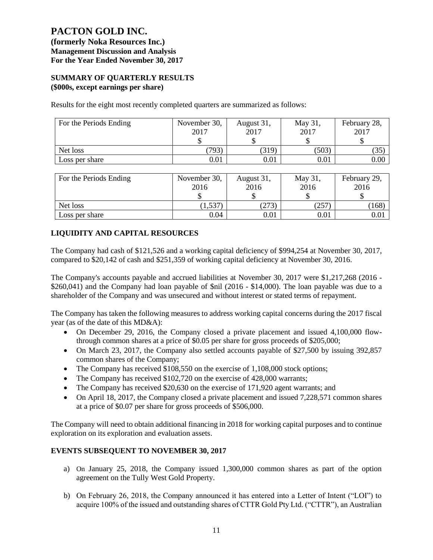**(formerly Noka Resources Inc.) Management Discussion and Analysis For the Year Ended November 30, 2017**

## **SUMMARY OF QUARTERLY RESULTS (\$000s, except earnings per share)**

Results for the eight most recently completed quarters are summarized as follows:

| For the Periods Ending | November 30,<br>2017 | August 31,<br>2017 | May 31,<br>2017 | February 28,<br>2017 |
|------------------------|----------------------|--------------------|-----------------|----------------------|
|                        |                      |                    |                 |                      |
| Net loss               | (793)                | (319)              | (503)           | (35)                 |
| Loss per share         | 0.01                 | $\rm 0.01$         | 0.01            | 0.00                 |

| For the Periods Ending | November 30,<br>2016 | August 31,<br>2016 | May 31,<br>2016 | February 29,<br>2016 |
|------------------------|----------------------|--------------------|-----------------|----------------------|
| Net loss               | 1,537                | (273)              | (257            | 168                  |
| Loss per share         | 0.04                 | 0.01               | 0.01            | 0.01                 |

# **LIQUIDITY AND CAPITAL RESOURCES**

The Company had cash of \$121,526 and a working capital deficiency of \$994,254 at November 30, 2017, compared to \$20,142 of cash and \$251,359 of working capital deficiency at November 30, 2016.

The Company's accounts payable and accrued liabilities at November 30, 2017 were \$1,217,268 (2016 - \$260,041) and the Company had loan payable of \$nil (2016 - \$14,000). The loan payable was due to a shareholder of the Company and was unsecured and without interest or stated terms of repayment.

The Company has taken the following measures to address working capital concerns during the 2017 fiscal year (as of the date of this MD&A):

- On December 29, 2016, the Company closed a private placement and issued 4,100,000 flowthrough common shares at a price of \$0.05 per share for gross proceeds of \$205,000;
- On March 23, 2017, the Company also settled accounts payable of \$27,500 by issuing 392,857 common shares of the Company;
- The Company has received \$108,550 on the exercise of 1,108,000 stock options;
- The Company has received \$102,720 on the exercise of 428,000 warrants;
- The Company has received \$20,630 on the exercise of 171,920 agent warrants; and
- On April 18, 2017, the Company closed a private placement and issued 7,228,571 common shares at a price of \$0.07 per share for gross proceeds of \$506,000.

The Company will need to obtain additional financing in 2018 for working capital purposes and to continue exploration on its exploration and evaluation assets.

## **EVENTS SUBSEQUENT TO NOVEMBER 30, 2017**

- a) On January 25, 2018, the Company issued 1,300,000 common shares as part of the option agreement on the Tully West Gold Property.
- b) On February 26, 2018, the Company announced it has entered into a Letter of Intent ("LOI") to acquire 100% of the issued and outstanding shares of CTTR Gold Pty Ltd. ("CTTR"), an Australian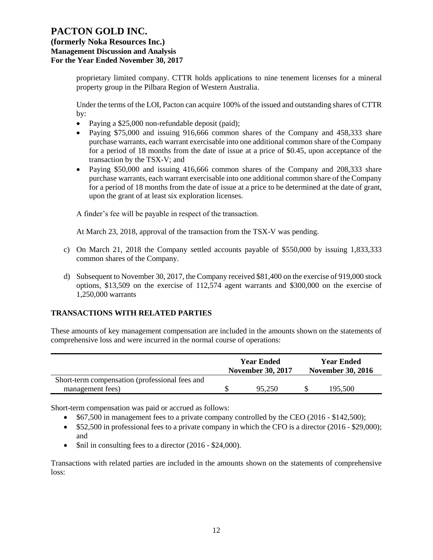## **(formerly Noka Resources Inc.) Management Discussion and Analysis For the Year Ended November 30, 2017**

proprietary limited company. CTTR holds applications to nine tenement licenses for a mineral property group in the Pilbara Region of Western Australia.

Under the terms of the LOI, Pacton can acquire 100% of the issued and outstanding shares of CTTR by:

- Paying a \$25,000 non-refundable deposit (paid);
- Paying \$75,000 and issuing 916,666 common shares of the Company and 458,333 share purchase warrants, each warrant exercisable into one additional common share of the Company for a period of 18 months from the date of issue at a price of \$0.45, upon acceptance of the transaction by the TSX-V; and
- Paying \$50,000 and issuing 416,666 common shares of the Company and 208,333 share purchase warrants, each warrant exercisable into one additional common share of the Company for a period of 18 months from the date of issue at a price to be determined at the date of grant, upon the grant of at least six exploration licenses.

A finder's fee will be payable in respect of the transaction.

At March 23, 2018, approval of the transaction from the TSX-V was pending.

- c) On March 21, 2018 the Company settled accounts payable of \$550,000 by issuing 1,833,333 common shares of the Company.
- d) Subsequent to November 30, 2017, the Company received \$81,400 on the exercise of 919,000 stock options, \$13,509 on the exercise of 112,574 agent warrants and \$300,000 on the exercise of 1,250,000 warrants

## **TRANSACTIONS WITH RELATED PARTIES**

These amounts of key management compensation are included in the amounts shown on the statements of comprehensive loss and were incurred in the normal course of operations:

|                                                | <b>Year Ended</b><br><b>November 30, 2017</b> |        | <b>Year Ended</b><br><b>November 30, 2016</b> |         |
|------------------------------------------------|-----------------------------------------------|--------|-----------------------------------------------|---------|
| Short-term compensation (professional fees and |                                               |        |                                               |         |
| management fees)                               |                                               | 95.250 |                                               | 195,500 |

Short-term compensation was paid or accrued as follows:

- \$67,500 in management fees to a private company controlled by the CEO (2016 \$142,500);
- \$52,500 in professional fees to a private company in which the CFO is a director (2016 \$29,000); and
- \$nil in consulting fees to a director (2016 \$24,000).

Transactions with related parties are included in the amounts shown on the statements of comprehensive loss: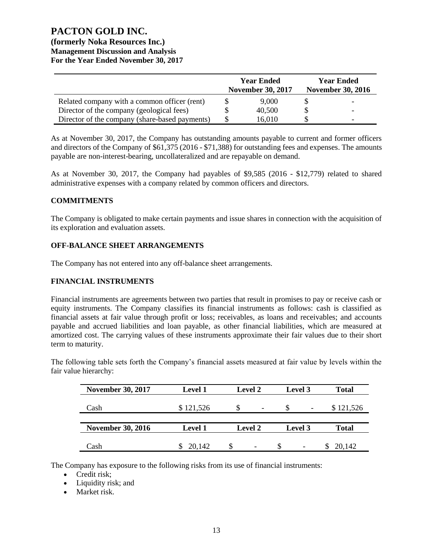## **(formerly Noka Resources Inc.) Management Discussion and Analysis For the Year Ended November 30, 2017**

|                                                | <b>Year Ended</b><br><b>November 30, 2017</b> | <b>Year Ended</b><br><b>November 30, 2016</b> |
|------------------------------------------------|-----------------------------------------------|-----------------------------------------------|
| Related company with a common officer (rent)   | 9,000                                         |                                               |
| Director of the company (geological fees)      | 40,500                                        |                                               |
| Director of the company (share-based payments) | 16,010                                        |                                               |

As at November 30, 2017, the Company has outstanding amounts payable to current and former officers and directors of the Company of \$61,375 (2016 - \$71,388) for outstanding fees and expenses. The amounts payable are non-interest-bearing, uncollateralized and are repayable on demand.

As at November 30, 2017, the Company had payables of \$9,585 (2016 - \$12,779) related to shared administrative expenses with a company related by common officers and directors.

### **COMMITMENTS**

The Company is obligated to make certain payments and issue shares in connection with the acquisition of its exploration and evaluation assets.

### **OFF-BALANCE SHEET ARRANGEMENTS**

The Company has not entered into any off-balance sheet arrangements.

#### **FINANCIAL INSTRUMENTS**

Financial instruments are agreements between two parties that result in promises to pay or receive cash or equity instruments. The Company classifies its financial instruments as follows: cash is classified as financial assets at fair value through profit or loss; receivables, as loans and receivables; and accounts payable and accrued liabilities and loan payable, as other financial liabilities, which are measured at amortized cost. The carrying values of these instruments approximate their fair values due to their short term to maturity.

The following table sets forth the Company's financial assets measured at fair value by levels within the fair value hierarchy:

| <b>November 30, 2017</b> | <b>Level 1</b> | <b>Level 2</b>                | Level 3                              | <b>Total</b> |
|--------------------------|----------------|-------------------------------|--------------------------------------|--------------|
| Cash                     | \$121,526      | S<br>$\overline{\phantom{0}}$ | <b>S</b><br>$\overline{\phantom{a}}$ | \$121,526    |
| <b>November 30, 2016</b> | <b>Level 1</b> | <b>Level 2</b>                | Level 3                              | <b>Total</b> |
| Cash                     | 20,142         | $\overline{\phantom{a}}$      |                                      | 20,142       |

The Company has exposure to the following risks from its use of financial instruments:

- Credit risk;
- Liquidity risk; and
- Market risk.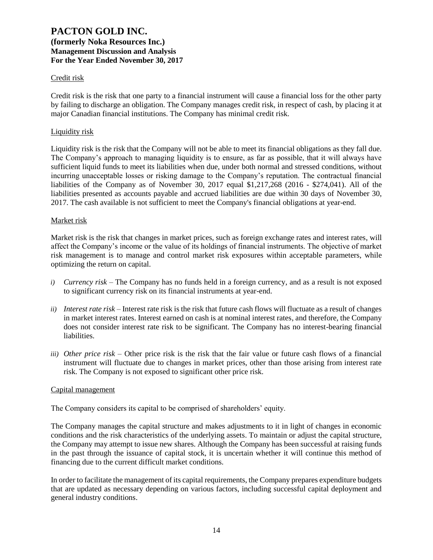### Credit risk

Credit risk is the risk that one party to a financial instrument will cause a financial loss for the other party by failing to discharge an obligation. The Company manages credit risk, in respect of cash, by placing it at major Canadian financial institutions. The Company has minimal credit risk.

#### Liquidity risk

Liquidity risk is the risk that the Company will not be able to meet its financial obligations as they fall due. The Company's approach to managing liquidity is to ensure, as far as possible, that it will always have sufficient liquid funds to meet its liabilities when due, under both normal and stressed conditions, without incurring unacceptable losses or risking damage to the Company's reputation. The contractual financial liabilities of the Company as of November 30, 2017 equal \$1,217,268 (2016 - \$274,041). All of the liabilities presented as accounts payable and accrued liabilities are due within 30 days of November 30, 2017. The cash available is not sufficient to meet the Company's financial obligations at year-end.

#### Market risk

Market risk is the risk that changes in market prices, such as foreign exchange rates and interest rates, will affect the Company's income or the value of its holdings of financial instruments. The objective of market risk management is to manage and control market risk exposures within acceptable parameters, while optimizing the return on capital.

- *i) Currency risk* The Company has no funds held in a foreign currency, and as a result is not exposed to significant currency risk on its financial instruments at year-end.
- *ii) Interest rate risk –* Interest rate risk is the risk that future cash flows will fluctuate as a result of changes in market interest rates. Interest earned on cash is at nominal interest rates, and therefore, the Company does not consider interest rate risk to be significant. The Company has no interest-bearing financial liabilities.
- *iii) Other price risk –* Other price risk is the risk that the fair value or future cash flows of a financial instrument will fluctuate due to changes in market prices, other than those arising from interest rate risk. The Company is not exposed to significant other price risk.

#### Capital management

The Company considers its capital to be comprised of shareholders' equity.

The Company manages the capital structure and makes adjustments to it in light of changes in economic conditions and the risk characteristics of the underlying assets. To maintain or adjust the capital structure, the Company may attempt to issue new shares. Although the Company has been successful at raising funds in the past through the issuance of capital stock, it is uncertain whether it will continue this method of financing due to the current difficult market conditions.

In order to facilitate the management of its capital requirements, the Company prepares expenditure budgets that are updated as necessary depending on various factors, including successful capital deployment and general industry conditions.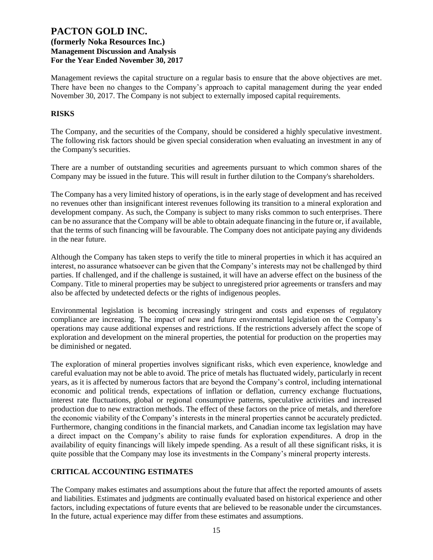Management reviews the capital structure on a regular basis to ensure that the above objectives are met. There have been no changes to the Company's approach to capital management during the year ended November 30, 2017. The Company is not subject to externally imposed capital requirements.

### **RISKS**

The Company, and the securities of the Company, should be considered a highly speculative investment. The following risk factors should be given special consideration when evaluating an investment in any of the Company's securities.

There are a number of outstanding securities and agreements pursuant to which common shares of the Company may be issued in the future. This will result in further dilution to the Company's shareholders.

The Company has a very limited history of operations, is in the early stage of development and has received no revenues other than insignificant interest revenues following its transition to a mineral exploration and development company. As such, the Company is subject to many risks common to such enterprises. There can be no assurance that the Company will be able to obtain adequate financing in the future or, if available, that the terms of such financing will be favourable. The Company does not anticipate paying any dividends in the near future.

Although the Company has taken steps to verify the title to mineral properties in which it has acquired an interest, no assurance whatsoever can be given that the Company's interests may not be challenged by third parties. If challenged, and if the challenge is sustained, it will have an adverse effect on the business of the Company. Title to mineral properties may be subject to unregistered prior agreements or transfers and may also be affected by undetected defects or the rights of indigenous peoples.

Environmental legislation is becoming increasingly stringent and costs and expenses of regulatory compliance are increasing. The impact of new and future environmental legislation on the Company's operations may cause additional expenses and restrictions. If the restrictions adversely affect the scope of exploration and development on the mineral properties, the potential for production on the properties may be diminished or negated.

The exploration of mineral properties involves significant risks, which even experience, knowledge and careful evaluation may not be able to avoid. The price of metals has fluctuated widely, particularly in recent years, as it is affected by numerous factors that are beyond the Company's control, including international economic and political trends, expectations of inflation or deflation, currency exchange fluctuations, interest rate fluctuations, global or regional consumptive patterns, speculative activities and increased production due to new extraction methods. The effect of these factors on the price of metals, and therefore the economic viability of the Company's interests in the mineral properties cannot be accurately predicted. Furthermore, changing conditions in the financial markets, and Canadian income tax legislation may have a direct impact on the Company's ability to raise funds for exploration expenditures. A drop in the availability of equity financings will likely impede spending. As a result of all these significant risks, it is quite possible that the Company may lose its investments in the Company's mineral property interests.

## **CRITICAL ACCOUNTING ESTIMATES**

The Company makes estimates and assumptions about the future that affect the reported amounts of assets and liabilities. Estimates and judgments are continually evaluated based on historical experience and other factors, including expectations of future events that are believed to be reasonable under the circumstances. In the future, actual experience may differ from these estimates and assumptions.